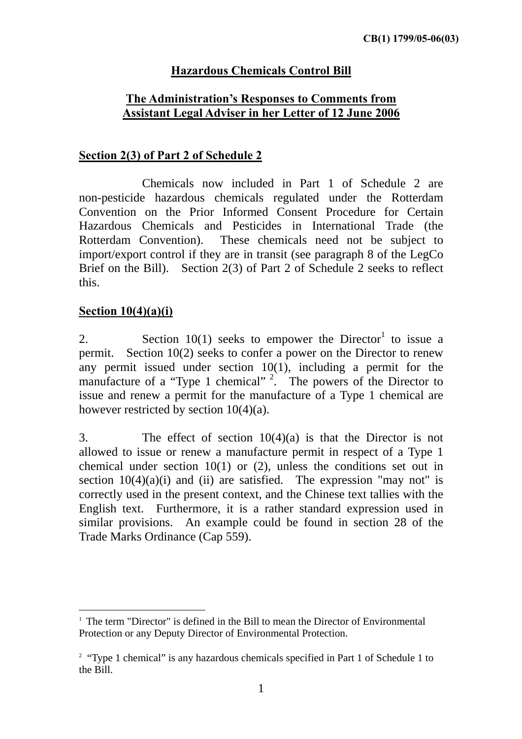# **Hazardous Chemicals Control Bill**

# **The Administration's Responses to Comments from Assistant Legal Adviser in her Letter of 12 June 2006**

#### **Section 2(3) of Part 2 of Schedule 2**

 Chemicals now included in Part 1 of Schedule 2 are non-pesticide hazardous chemicals regulated under the Rotterdam Convention on the Prior Informed Consent Procedure for Certain Hazardous Chemicals and Pesticides in International Trade (the Rotterdam Convention). These chemicals need not be subject to import/export control if they are in transit (see paragraph 8 of the LegCo Brief on the Bill). Section 2(3) of Part 2 of Schedule 2 seeks to reflect this.

### **Section 10(4)(a)(i)**

 $\overline{a}$ 

2. Section  $10(1)$  seeks to empower the Director<sup>1</sup> to issue a permit. Section 10(2) seeks to confer a power on the Director to renew any permit issued under section 10(1), including a permit for the manufacture of a "Type 1 chemical"  $2.$  The powers of the Director to issue and renew a permit for the manufacture of a Type 1 chemical are however restricted by section 10(4)(a).

3. The effect of section 10(4)(a) is that the Director is not allowed to issue or renew a manufacture permit in respect of a Type 1 chemical under section 10(1) or (2), unless the conditions set out in section  $10(4)(a)(i)$  and (ii) are satisfied. The expression "may not" is correctly used in the present context, and the Chinese text tallies with the English text. Furthermore, it is a rather standard expression used in similar provisions. An example could be found in section 28 of the Trade Marks Ordinance (Cap 559).

<sup>&</sup>lt;sup>1</sup> The term "Director" is defined in the Bill to mean the Director of Environmental Protection or any Deputy Director of Environmental Protection.

<sup>&</sup>lt;sup>2</sup> "Type 1 chemical" is any hazardous chemicals specified in Part 1 of Schedule 1 to the Bill.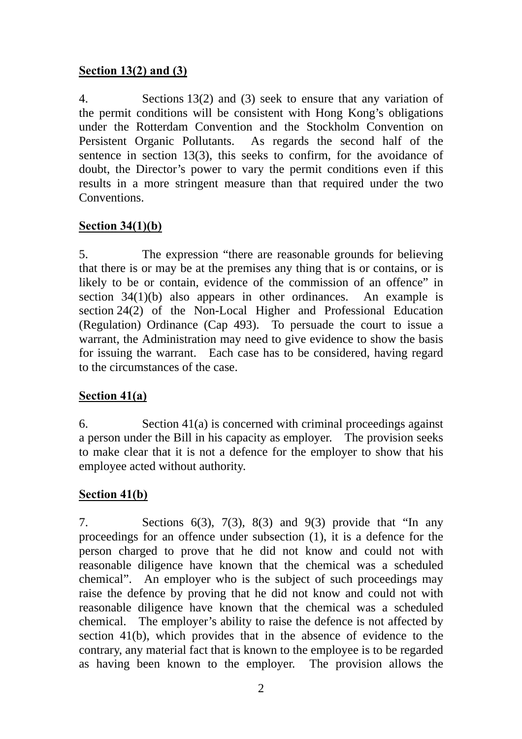## **Section 13(2) and (3)**

4. Sections 13(2) and (3) seek to ensure that any variation of the permit conditions will be consistent with Hong Kong's obligations under the Rotterdam Convention and the Stockholm Convention on Persistent Organic Pollutants. As regards the second half of the sentence in section 13(3), this seeks to confirm, for the avoidance of doubt, the Director's power to vary the permit conditions even if this results in a more stringent measure than that required under the two **Conventions** 

### **Section 34(1)(b)**

5. The expression "there are reasonable grounds for believing that there is or may be at the premises any thing that is or contains, or is likely to be or contain, evidence of the commission of an offence" in section 34(1)(b) also appears in other ordinances. An example is section 24(2) of the Non-Local Higher and Professional Education (Regulation) Ordinance (Cap 493). To persuade the court to issue a warrant, the Administration may need to give evidence to show the basis for issuing the warrant. Each case has to be considered, having regard to the circumstances of the case.

# **Section 41(a)**

6. Section 41(a) is concerned with criminal proceedings against a person under the Bill in his capacity as employer. The provision seeks to make clear that it is not a defence for the employer to show that his employee acted without authority.

# **Section 41(b)**

7. Sections  $6(3)$ ,  $7(3)$ ,  $8(3)$  and  $9(3)$  provide that "In any proceedings for an offence under subsection (1), it is a defence for the person charged to prove that he did not know and could not with reasonable diligence have known that the chemical was a scheduled chemical". An employer who is the subject of such proceedings may raise the defence by proving that he did not know and could not with reasonable diligence have known that the chemical was a scheduled chemical. The employer's ability to raise the defence is not affected by section 41(b), which provides that in the absence of evidence to the contrary, any material fact that is known to the employee is to be regarded as having been known to the employer. The provision allows the